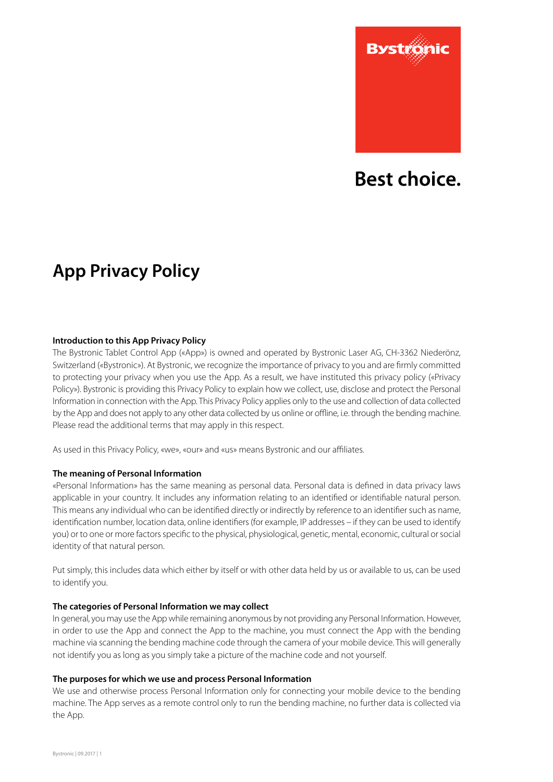

# Best choice.

# **App Privacy Policy**

## **Introduction to this App Privacy Policy**

The Bystronic Tablet Control App («App») is owned and operated by Bystronic Laser AG, CH-3362 Niederönz, Switzerland («Bystronic»). At Bystronic, we recognize the importance of privacy to you and are firmly committed to protecting your privacy when you use the App. As a result, we have instituted this privacy policy («Privacy Policy»). Bystronic is providing this Privacy Policy to explain how we collect, use, disclose and protect the Personal Information in connection with the App. This Privacy Policy applies only to the use and collection of data collected by the App and does not apply to any other data collected by us online or offline, i.e. through the bending machine. Please read the additional terms that may apply in this respect.

As used in this Privacy Policy, «we», «our» and «us» means Bystronic and our affiliates.

#### **The meaning of Personal Information**

«Personal Information» has the same meaning as personal data. Personal data is defined in data privacy laws applicable in your country. It includes any information relating to an identified or identifiable natural person. This means any individual who can be identified directly or indirectly by reference to an identifier such as name, identification number, location data, online identifiers (for example, IP addresses – if they can be used to identify you) or to one or more factors specific to the physical, physiological, genetic, mental, economic, cultural or social identity of that natural person.

Put simply, this includes data which either by itself or with other data held by us or available to us, can be used to identify you.

#### **The categories of Personal Information we may collect**

In general, you may use the App while remaining anonymous by not providing any Personal Information. However, in order to use the App and connect the App to the machine, you must connect the App with the bending machine via scanning the bending machine code through the camera of your mobile device. This will generally not identify you as long as you simply take a picture of the machine code and not yourself.

#### **The purposes for which we use and process Personal Information**

We use and otherwise process Personal Information only for connecting your mobile device to the bending machine. The App serves as a remote control only to run the bending machine, no further data is collected via the App.